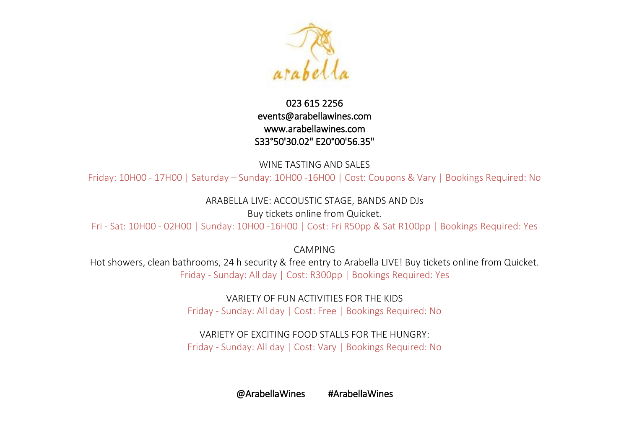

## 023 615 2256 [events@arabellawines.com](mailto:events@arabellawines.com)  [www.arabellawines.com](http://www.arabellawines.com/)  S33°50'30.02" E20°00'56.35"

WINE TASTING AND SALES

Friday: 10H00 - 17H00 | Saturday – Sunday: 10H00 -16H00 | Cost: Coupons & Vary | Bookings Required: No

ARABELLA LIVE: ACCOUSTIC STAGE, BANDS AND DJs

Buy tickets online from Quicket.

Fri - Sat: 10H00 - 02H00 | Sunday: 10H00 -16H00 | Cost: Fri R50pp & Sat R100pp | Bookings Required: Yes

CAMPING

Hot showers, clean bathrooms, 24 h security & free entry to Arabella LIVE! Buy tickets online from Quicket. Friday - Sunday: All day | Cost: R300pp | Bookings Required: Yes

> VARIETY OF FUN ACTIVITIES FOR THE KIDS Friday - Sunday: All day | Cost: Free | Bookings Required: No

> VARIETY OF EXCITING FOOD STALLS FOR THE HUNGRY: Friday - Sunday: All day | Cost: Vary | Bookings Required: No

> > @ArabellaWines #ArabellaWines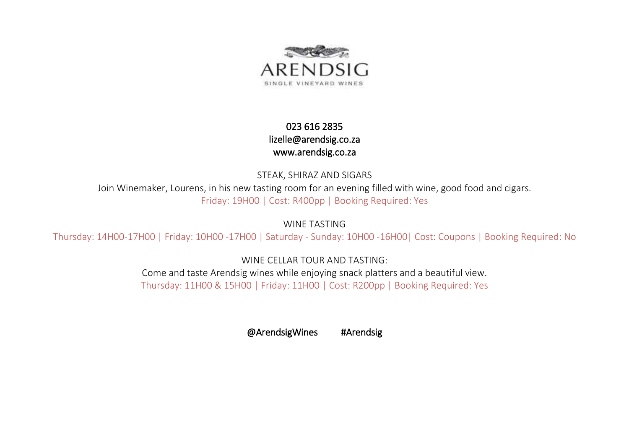

## 023 616 2835 [lizelle@arendsig.co.za](mailto:lizelle@arendsig.co.za)  [www.arendsig.co.za](http://www.arendsig.co.za/)

STEAK, SHIRAZ AND SIGARS

Join Winemaker, Lourens, in his new tasting room for an evening filled with wine, good food and cigars. Friday: 19H00 | Cost: R400pp | Booking Required: Yes

WINE TASTING

Thursday: 14H00-17H00 | Friday: 10H00 -17H00 | Saturday - Sunday: 10H00 -16H00| Cost: Coupons | Booking Required: No

WINE CELLAR TOUR AND TASTING:

Come and taste Arendsig wines while enjoying snack platters and a beautiful view. Thursday: 11H00 & 15H00 | Friday: 11H00 | Cost: R200pp | Booking Required: Yes

@ArendsigWines #Arendsig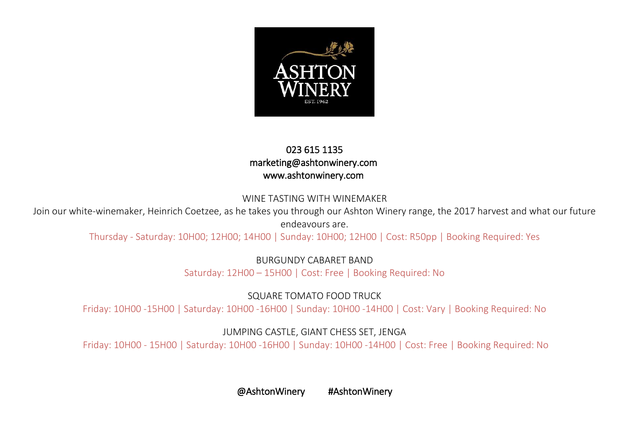

#### 023 615 1135 marketing@ashtonwinery.co[m](http://www.ashtonkelder.co.za/)  [www.ashtonwinery.com](http://www.ashtonwinery.com )

#### WINE TASTING WITH WINEMAKER

Join our white-winemaker, Heinrich Coetzee, as he takes you through our Ashton Winery range, the 2017 harvest and what our future endeavours are.

Thursday - Saturday: 10H00; 12H00; 14H00 | Sunday: 10H00; 12H00 | Cost: R50pp | Booking Required: Yes

BURGUNDY CABARET BAND

Saturday: 12H00 – 15H00 | Cost: Free | Booking Required: No

SQUARE TOMATO FOOD TRUCK

Friday: 10H00 -15H00 | Saturday: 10H00 -16H00 | Sunday: 10H00 -14H00 | Cost: Vary | Booking Required: No

JUMPING CASTLE, GIANT CHESS SET, JENGA

Friday: 10H00 - 15H00 | Saturday: 10H00 -16H00 | Sunday: 10H00 -14H00 | Cost: Free | Booking Required: No

@AshtonWinery #AshtonWinery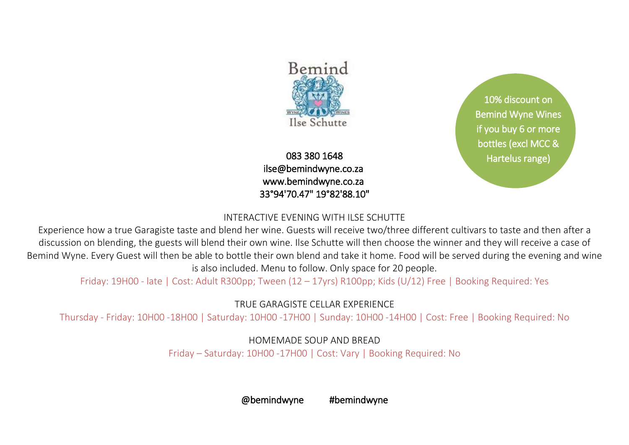

083 380 1648 [ilse@bemindwyne.co.za](mailto:ilse@bemindwyne.co.za)  [www.bemindwyne.co.za](http://www.bemindwyne.co.za/)  33°94'70.47" 19°82'88.10"

10% discount on Bemind Wyne Wines if you buy 6 or more bottles (excl MCC & [Hartelus range\)](mailto:ilse@bemindwyne.co.za)

## INTERACTIVE EVENING WITH ILSE SCHUTTE

Experience how a true Garagiste taste and blend her wine. Guests will receive two/three different cultivars to taste and then after a discussion on blending, the guests will blend their own wine. Ilse Schutte will then choose the winner and they will receive a case of Bemind Wyne. Every Guest will then be able to bottle their own blend and take it home. Food will be served during the evening and wine is also included. Menu to follow. Only space for 20 people.

Friday: 19H00 - late | Cost: Adult R300pp; Tween (12 – 17yrs) R100pp; Kids (U/12) Free | Booking Required: Yes

## TRUE GARAGISTE CELLAR EXPERIENCE

Thursday - Friday: 10H00 -18H00 | Saturday: 10H00 -17H00 | Sunday: 10H00 -14H00 | Cost: Free | Booking Required: No

HOMEMADE SOUP AND BREAD Friday – Saturday: 10H00 -17H00 | Cost: Vary | Booking Required: No

@bemindwyne #bemindwyne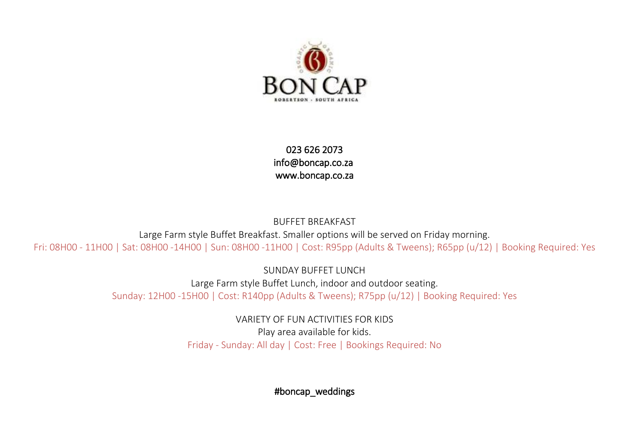

023 626 2073 [info@boncap.co.za](mailto:info@boncap.co.za)  [www.boncap.co.za](http://www.boncap.co.za/) 

BUFFET BREAKFAST Large Farm style Buffet Breakfast. Smaller options will be served on Friday morning. Fri: 08H00 - 11H00 | Sat: 08H00 -14H00 | Sun: 08H00 -11H00 | Cost: R95pp (Adults & Tweens); R65pp (u/12) | Booking Required: Yes

> SUNDAY BUFFET LUNCH Large Farm style Buffet Lunch, indoor and outdoor seating. Sunday: 12H00 -15H00 | Cost: R140pp (Adults & Tweens); R75pp (u/12) | Booking Required: Yes

> > VARIETY OF FUN ACTIVITIES FOR KIDS Play area available for kids. Friday - Sunday: All day | Cost: Free | Bookings Required: No

> > > #boncap\_weddings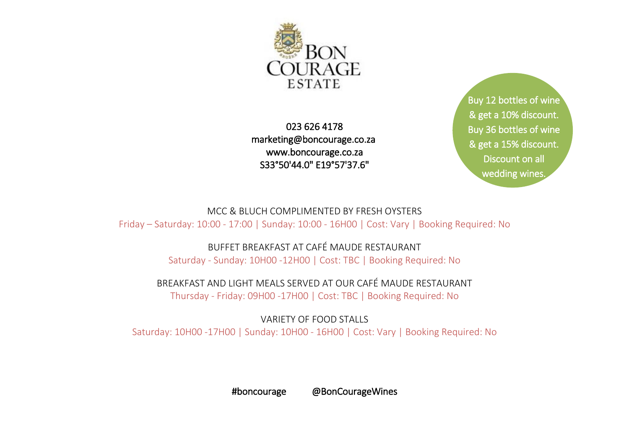

023 626 4178 [marketing@boncourage.co.za](mailto:marketing@boncourage.co.za)  www.boncourage.co.za S33°50'44.0" E19°57'37.6"

Buy 12 bottles of wine & get a 10% discount. Buy 36 bottles of wine [& get a 15% discount.](mailto:marketing@boncourage.co.za)  Discount on all wedding wines.

MCC & BLUCH COMPLIMENTED BY FRESH OYSTERS Friday – Saturday: 10:00 - 17:00 | Sunday: 10:00 - 16H00 | Cost: Vary | Booking Required: No

BUFFET BREAKFAST AT CAFÉ MAUDE RESTAURANT

Saturday - Sunday: 10H00 -12H00 | Cost: TBC | Booking Required: No

BREAKFAST AND LIGHT MEALS SERVED AT OUR CAFÉ MAUDE RESTAURANT

Thursday - Friday: 09H00 -17H00 | Cost: TBC | Booking Required: No

VARIETY OF FOOD STALLS Saturday: 10H00 -17H00 | Sunday: 10H00 - 16H00 | Cost: Vary | Booking Required: No

#boncourage @BonCourageWines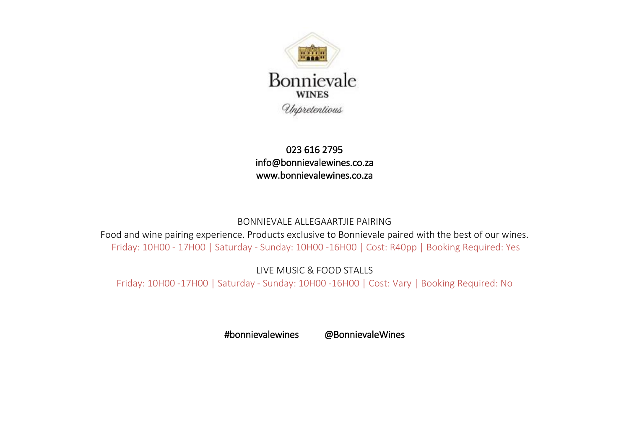

023 616 2795  [info@bonnievalewines.co.za](mailto:info@bonnievalewines.co.za)  [www.bonnievalewines.co.za](http://www.bonnievalewines.co.za/) 

#### BONNIEVALE ALLEGAARTJIE PAIRING

Food and wine pairing experience. Products exclusive to Bonnievale paired with the best of our wines. Friday: 10H00 - 17H00 | Saturday - Sunday: 10H00 -16H00 | Cost: R40pp | Booking Required: Yes

LIVE MUSIC & FOOD STALLS

Friday: 10H00 -17H00 | Saturday - Sunday: 10H00 -16H00 | Cost: Vary | Booking Required: No

#bonnievalewines @BonnievaleWines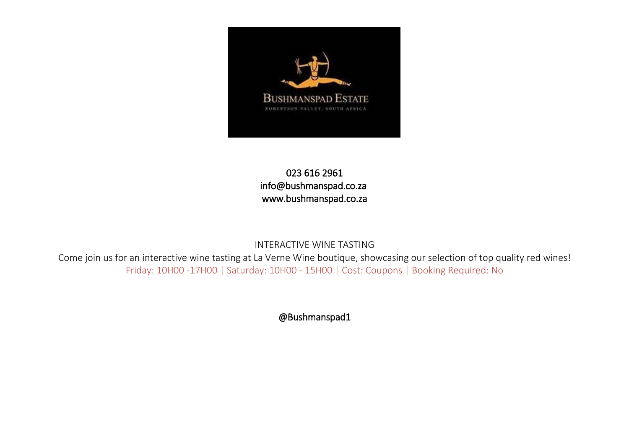

## 023 616 2961 [info@bushmanspad.co.za](mailto:info@bushmanspad.co.za)  [www.bushmanspad.co.za](http://www.bushmanspad.co.za/)

#### INTERACTIVE WINE TASTING

Come join us for an interactive wine tasting at La Verne Wine boutique, showcasing our selection of top quality red wines! Friday: 10H00 -17H00 | Saturday: 10H00 - 15H00 | Cost: Coupons | Booking Required: No

@Bushmanspad1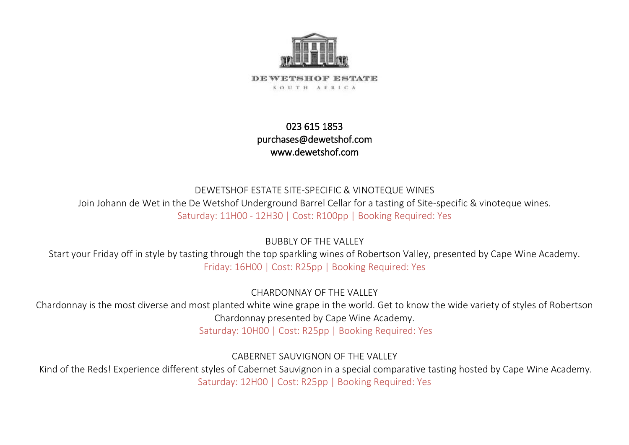

DEWETSHOF ESTATE SOUTH AFRICA

## 023 615 1853 [purchases@dewetshof.com](mailto:purchases@dewetshof.com)  [www.dewetshof.com](http://www.dewetshof.com/)

## DEWETSHOF ESTATE SITE-SPECIFIC & VINOTEQUE WINES Join Johann de Wet in the De Wetshof Underground Barrel Cellar for a tasting of Site-specific & vinoteque wines. Saturday: 11H00 - 12H30 | Cost: R100pp | Booking Required: Yes

BUBBLY OF THE VALLEY

Start your Friday off in style by tasting through the top sparkling wines of Robertson Valley, presented by Cape Wine Academy. Friday: 16H00 | Cost: R25pp | Booking Required: Yes

CHARDONNAY OF THE VALLEY

Chardonnay is the most diverse and most planted white wine grape in the world. Get to know the wide variety of styles of Robertson Chardonnay presented by Cape Wine Academy.

Saturday: 10H00 | Cost: R25pp | Booking Required: Yes

CABERNET SAUVIGNON OF THE VALLEY

Kind of the Reds! Experience different styles of Cabernet Sauvignon in a special comparative tasting hosted by Cape Wine Academy. Saturday: 12H00 | Cost: R25pp | Booking Required: Yes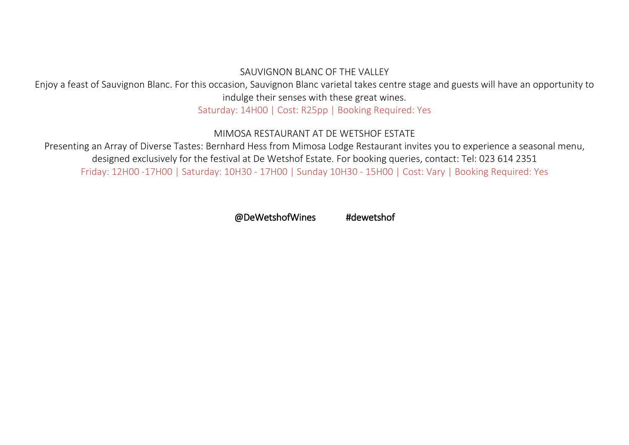#### SAUVIGNON BLANC OF THE VALLEY

Enjoy a feast of Sauvignon Blanc. For this occasion, Sauvignon Blanc varietal takes centre stage and guests will have an opportunity to indulge their senses with these great wines.

Saturday: 14H00 | Cost: R25pp | Booking Required: Yes

#### MIMOSA RESTAURANT AT DE WETSHOF ESTATE

Presenting an Array of Diverse Tastes: Bernhard Hess from Mimosa Lodge Restaurant invites you to experience a seasonal menu, designed exclusively for the festival at De Wetshof Estate. For booking queries, contact: Tel: 023 614 2351 Friday: 12H00 -17H00 | Saturday: 10H30 - 17H00 | Sunday 10H30 - 15H00 | Cost: Vary | Booking Required: Yes

@DeWetshofWines #dewetshof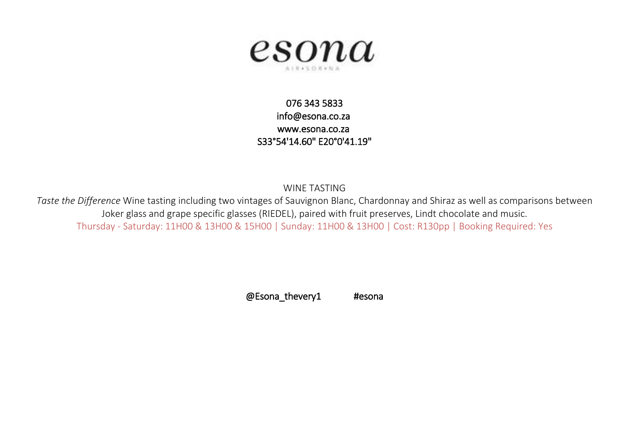

## 076 343 5833 [info@esona.co.za](mailto:info@esona.co.za)  [www.esona.co.za](http://www.esona.co.za/)  S33°54'14.60" E20°0'41.19"

WINE TASTING

*Taste the Difference* Wine tasting including two vintages of Sauvignon Blanc, Chardonnay and Shiraz as well as comparisons between Joker glass and grape specific glasses (RIEDEL), paired with fruit preserves, Lindt chocolate and music. Thursday - Saturday: 11H00 & 13H00 & 15H00 | Sunday: 11H00 & 13H00 | Cost: R130pp | Booking Required: Yes

@Esona\_thevery1 #esona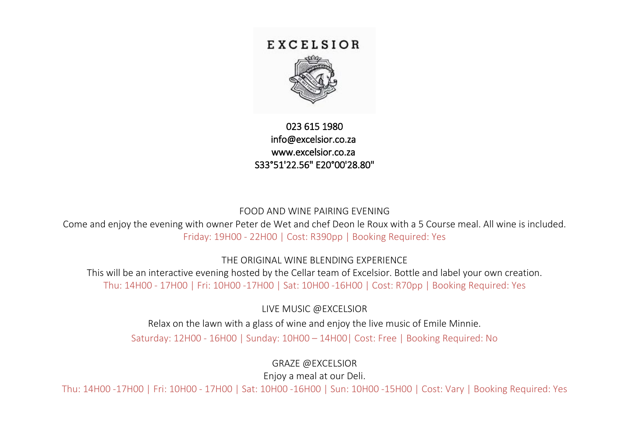## EXCELSIOR



## 023 615 1980 [info@excelsior.co.za](mailto:info@excelsior.co.za)  [www.excelsior.co.za](http://www.excelsior.co.za/)  S33°51'22.56" E20°00'28.80"

#### FOOD AND WINE PAIRING EVENING

Come and enjoy the evening with owner Peter de Wet and chef Deon le Roux with a 5 Course meal. All wine is included. Friday: 19H00 - 22H00 | Cost: R390pp | Booking Required: Yes

THE ORIGINAL WINE BLENDING EXPERIENCE

This will be an interactive evening hosted by the Cellar team of Excelsior. Bottle and label your own creation. Thu: 14H00 - 17H00 | Fri: 10H00 -17H00 | Sat: 10H00 -16H00 | Cost: R70pp | Booking Required: Yes

LIVE MUSIC @EXCELSIOR

Relax on the lawn with a glass of wine and enjoy the live music of Emile Minnie.

Saturday: 12H00 - 16H00 | Sunday: 10H00 – 14H00| Cost: Free | Booking Required: No

GRAZE @EXCELSIOR

Enjoy a meal at our Deli.

Thu: 14H00 -17H00 | Fri: 10H00 - 17H00 | Sat: 10H00 -16H00 | Sun: 10H00 -15H00 | Cost: Vary | Booking Required: Yes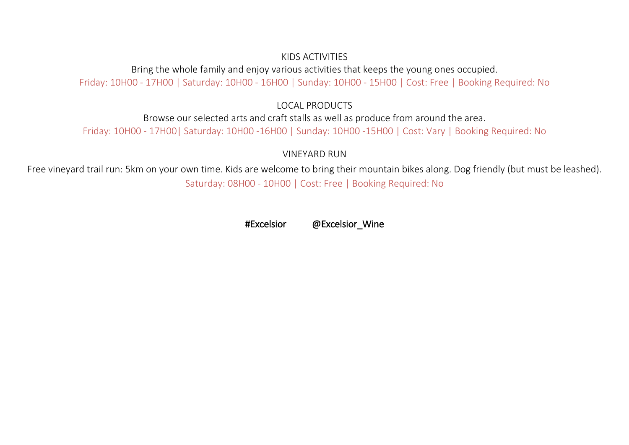#### KIDS ACTIVITIES

Bring the whole family and enjoy various activities that keeps the young ones occupied. Friday: 10H00 - 17H00 | Saturday: 10H00 - 16H00 | Sunday: 10H00 - 15H00 | Cost: Free | Booking Required: No

#### LOCAL PRODUCTS

Browse our selected arts and craft stalls as well as produce from around the area. Friday: 10H00 - 17H00| Saturday: 10H00 -16H00 | Sunday: 10H00 -15H00 | Cost: Vary | Booking Required: No

VINEYARD RUN

Free vineyard trail run: 5km on your own time. Kids are welcome to bring their mountain bikes along. Dog friendly (but must be leashed). Saturday: 08H00 - 10H00 | Cost: Free | Booking Required: No

#Excelsior @Excelsior\_Wine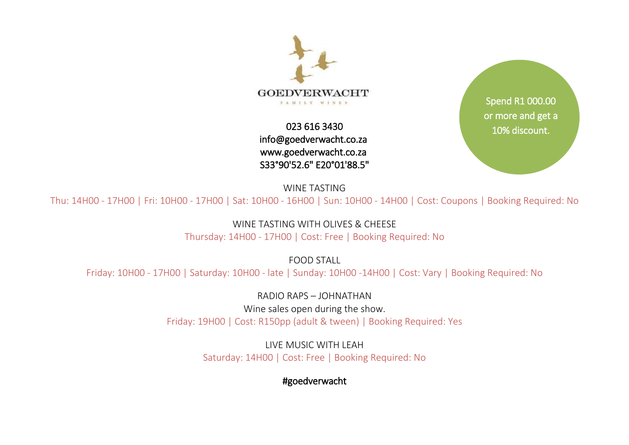

023 616 3430 [info@goedverwacht.co.za](mailto:info@goedverwacht.co.za)  [www.goedverwacht.co.za](http://www.goedverwacht.co.za/)  S33°90'52.6" E20°01'88.5"

Spend R1 000.00 or more and get a [10% discount.](mailto:info@goedverwacht.co.za)

WINE TASTING

Thu: 14H00 - 17H00 | Fri: 10H00 - 17H00 | Sat: 10H00 - 16H00 | Sun: 10H00 - 14H00 | Cost: Coupons | Booking Required: No

WINE TASTING WITH OI IVES & CHEESE

Thursday: 14H00 - 17H00 | Cost: Free | Booking Required: No

FOOD STALL

Friday: 10H00 - 17H00 | Saturday: 10H00 - late | Sunday: 10H00 -14H00 | Cost: Vary | Booking Required: No

RADIO RAPS – JOHNATHAN Wine sales open during the show. Friday: 19H00 | Cost: R150pp (adult & tween) | Booking Required: Yes

> LIVE MUSIC WITH LEAH Saturday: 14H00 | Cost: Free | Booking Required: No

> > #goedverwacht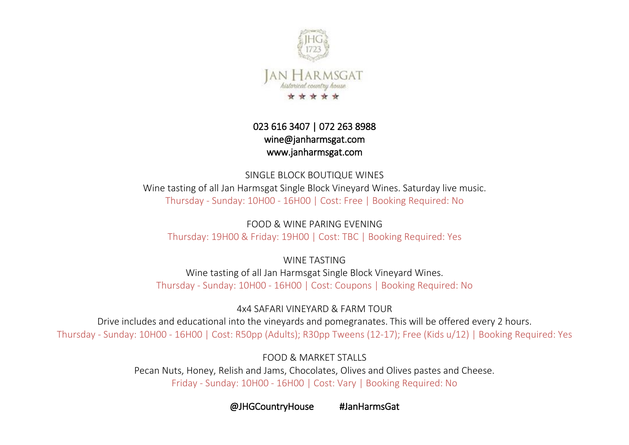

## 023 616 3407 | 072 263 8988 [wine@janharmsgat.com](mailto:wine@janharmsgat.com)  [www.janharmsgat.com](http://www.janharmsgat.com/)

SINGLE BLOCK BOUTIQUE WINES Wine tasting of all Jan Harmsgat Single Block Vineyard Wines. Saturday live music. Thursday - Sunday: 10H00 - 16H00 | Cost: Free | Booking Required: No

FOOD & WINE PARING EVENING Thursday: 19H00 & Friday: 19H00 | Cost: TBC | Booking Required: Yes

WINE TASTING Wine tasting of all Jan Harmsgat Single Block Vineyard Wines. Thursday - Sunday: 10H00 - 16H00 | Cost: Coupons | Booking Required: No

4x4 SAFARI VINEYARD & FARM TOUR

Drive includes and educational into the vineyards and pomegranates. This will be offered every 2 hours. Thursday - Sunday: 10H00 - 16H00 | Cost: R50pp (Adults); R30pp Tweens (12-17); Free (Kids u/12) | Booking Required: Yes

FOOD & MARKET STALLS

Pecan Nuts, Honey, Relish and Jams, Chocolates, Olives and Olives pastes and Cheese. Friday - Sunday: 10H00 - 16H00 | Cost: Vary | Booking Required: No

@JHGCountryHouse #JanHarmsGat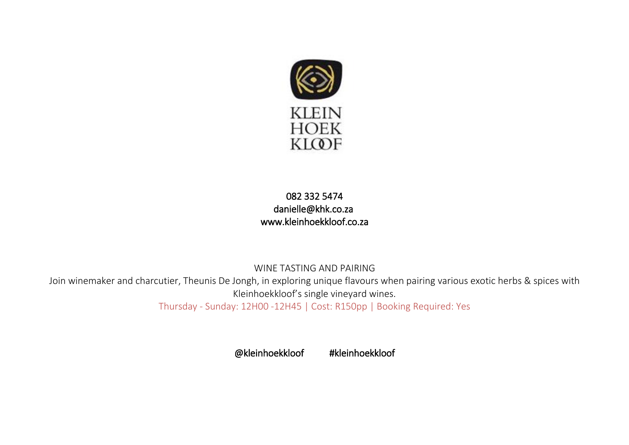

## 082 332 5474 [danielle@khk.co.za](mailto:danielle@khk.co.za)  [www.kleinhoekkloof.co.za](http://www.kleinhoekkloof.co.za/)

WINE TASTING AND PAIRING Join winemaker and charcutier, Theunis De Jongh, in exploring unique flavours when pairing various exotic herbs & spices with Kleinhoekkloof's single vineyard wines. Thursday - Sunday: 12H00 -12H45 | Cost: R150pp | Booking Required: Yes

@kleinhoekkloof #kleinhoekkloof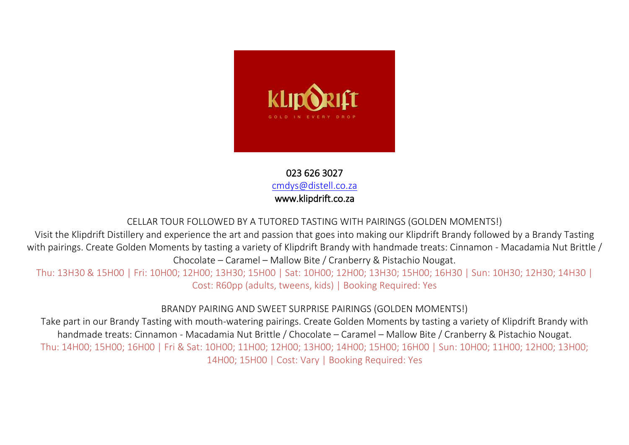

023 626 3027 [cmdys@distell.co.za](mailto:cmdys@distell.co.za) [www.klipdrift.co.za](http://www.klipdrift.co.za/) 

#### CELLAR TOUR FOLLOWED BY A TUTORED TASTING WITH PAIRINGS (GOLDEN MOMENTS!)

Visit the Klipdrift Distillery and experience the art and passion that goes into making our Klipdrift Brandy followed by a Brandy Tasting with pairings. Create Golden Moments by tasting a variety of Klipdrift Brandy with handmade treats: Cinnamon - Macadamia Nut Brittle / Chocolate – Caramel – Mallow Bite / Cranberry & Pistachio Nougat.

Thu: 13H30 & 15H00 | Fri: 10H00; 12H00; 13H30; 15H00 | Sat: 10H00; 12H00; 13H30; 15H00; 16H30 | Sun: 10H30; 12H30; 14H30 | Cost: R60pp (adults, tweens, kids) | Booking Required: Yes

BRANDY PAIRING AND SWEET SURPRISE PAIRINGS (GOLDEN MOMENTS!)

Take part in our Brandy Tasting with mouth-watering pairings. Create Golden Moments by tasting a variety of Klipdrift Brandy with handmade treats: Cinnamon - Macadamia Nut Brittle / Chocolate – Caramel – Mallow Bite / Cranberry & Pistachio Nougat. Thu: 14H00; 15H00; 16H00 | Fri & Sat: 10H00; 11H00; 12H00; 13H00; 14H00; 15H00; 16H00 | Sun: 10H00; 11H00; 12H00; 13H00; 14H00; 15H00 | Cost: Vary | Booking Required: Yes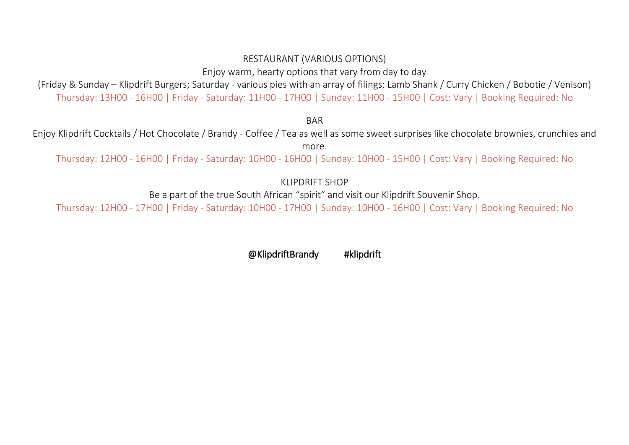#### RESTAURANT (VARIOUS OPTIONS)

Enjoy warm, hearty options that vary from day to day

(Friday & Sunday – Klipdrift Burgers; Saturday - various pies with an array of filings: Lamb Shank / Curry Chicken / Bobotie / Venison) Thursday: 13H00 - 16H00 | Friday - Saturday: 11H00 - 17H00 | Sunday: 11H00 - 15H00 | Cost: Vary | Booking Required: No

**BAR** 

Enjoy Klipdrift Cocktails / Hot Chocolate / Brandy - Coffee / Tea as well as some sweet surprises like chocolate brownies, crunchies and more.

Thursday: 12H00 - 16H00 | Friday - Saturday: 10H00 - 16H00 | Sunday: 10H00 - 15H00 | Cost: Vary | Booking Required: No

KLIPDRIFT SHOP

Be a part of the true South African "spirit" and visit our Klipdrift Souvenir Shop.

Thursday: 12H00 - 17H00 | Friday - Saturday: 10H00 - 17H00 | Sunday: 10H00 - 16H00 | Cost: Vary | Booking Required: No

@KlipdriftBrandy #klipdrift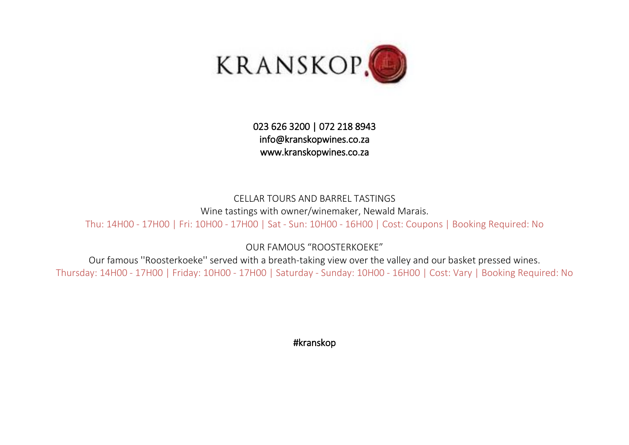

## 023 626 3200 | 072 218 8943 [info@kranskopwines.co.za](mailto:info@kranskopwines.co.za)  [www.kranskopwines.co.za](http://www.kranskopwines.co.za/)

CELLAR TOURS AND BARREL TASTINGS Wine tastings with owner/winemaker, Newald Marais. Thu: 14H00 - 17H00 | Fri: 10H00 - 17H00 | Sat - Sun: 10H00 - 16H00 | Cost: Coupons | Booking Required: No

OUR FAMOUS "ROOSTERKOEKE"

Our famous ''Roosterkoeke'' served with a breath-taking view over the valley and our basket pressed wines. Thursday: 14H00 - 17H00 | Friday: 10H00 - 17H00 | Saturday - Sunday: 10H00 - 16H00 | Cost: Vary | Booking Required: No

#kranskop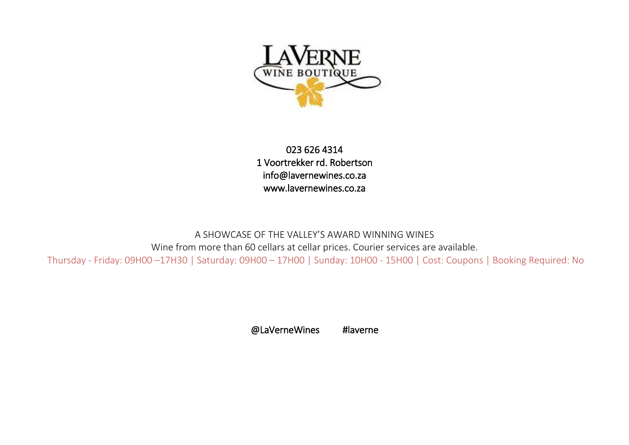

023 626 4314 1 Voortrekker rd. Robertson [info@lavernewines.co.za](mailto:info@lavernewines.co.za)  [www.lavernewines.co.za](http://www.lavernewines.co.za/) 

A SHOWCASE OF THE VALLEY'S AWARD WINNING WINES Wine from more than 60 cellars at cellar prices. Courier services are available. Thursday - Friday: 09H00 –17H30 | Saturday: 09H00 – 17H00 | Sunday: 10H00 - 15H00 | Cost: Coupons | Booking Required: No

@LaVerneWines #laverne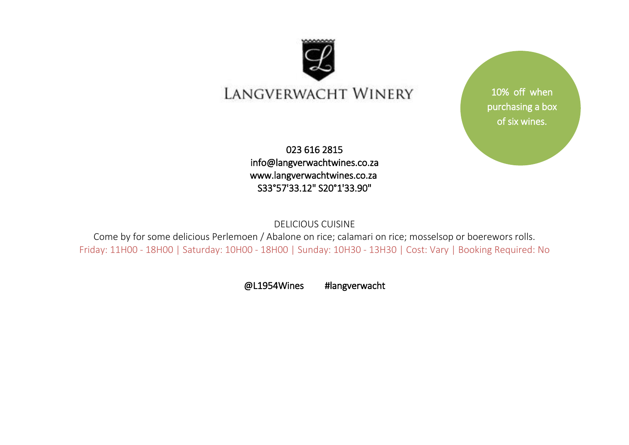

# LANGVERWACHT WINERY

023 616 2815 [info@langverwachtwines.co.za](mailto:info@langverwachtwines.co.za)  [www.langverwachtwines.co.za](http://www.langverwachtwines.co.za/)  S33°57'33.12" S20°1'33.90"

10% off when purchasing a box of six wines.

DELICIOUS CUISINE

Come by for some delicious Perlemoen / Abalone on rice; calamari on rice; mosselsop or boerewors rolls. Friday: 11H00 - 18H00 | Saturday: 10H00 - 18H00 | Sunday: 10H30 - 13H30 | Cost: Vary | Booking Required: No

@L1954Wines #langverwacht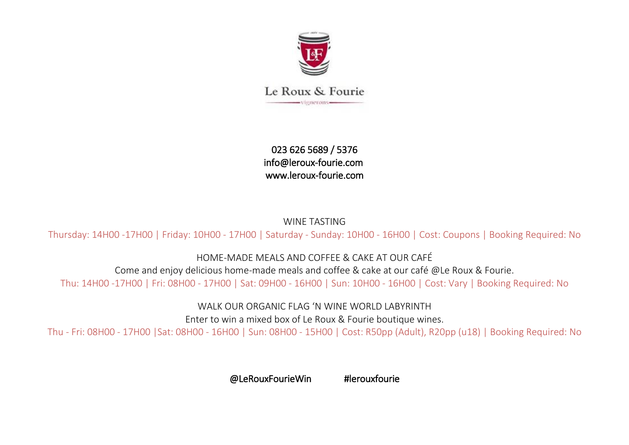

Le Roux & Fourie -vienerons-

023 626 5689 / 5376 [info@leroux-fourie.com](mailto:info@leroux-fourie.com)  [www.leroux-fourie.com](http://www.leroux-fourie.com/) 

WINE TASTING

Thursday: 14H00 -17H00 | Friday: 10H00 - 17H00 | Saturday - Sunday: 10H00 - 16H00 | Cost: Coupons | Booking Required: No

HOME-MADE MEALS AND COFFEE & CAKE AT OUR CAFÉ

Come and enjoy delicious home-made meals and coffee & cake at our café @Le Roux & Fourie. Thu: 14H00 -17H00 | Fri: 08H00 - 17H00 | Sat: 09H00 - 16H00 | Sun: 10H00 - 16H00 | Cost: Vary | Booking Required: No

WALK OUR ORGANIC FLAG 'N WINE WORLD LABYRINTH

Enter to win a mixed box of Le Roux & Fourie boutique wines.

Thu - Fri: 08H00 - 17H00 |Sat: 08H00 - 16H00 | Sun: 08H00 - 15H00 | Cost: R50pp (Adult), R20pp (u18) | Booking Required: No

@LeRouxFourieWin #lerouxfourie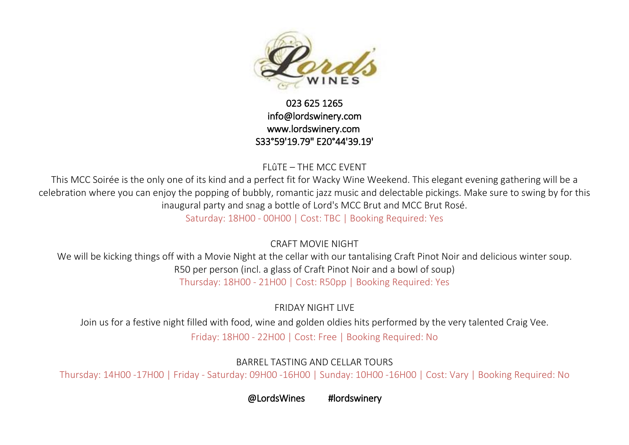

## 023 625 1265 [info@lordswinery.com](mailto:info@lordswinery.com)  [www.lordswinery.com](http://www.lordswinery.com/)  S33°59'19.79" E20°44'39.19'

FLûTE – THE MCC EVENT

This MCC Soirée is the only one of its kind and a perfect fit for Wacky Wine Weekend. This elegant evening gathering will be a celebration where you can enjoy the popping of bubbly, romantic jazz music and delectable pickings. Make sure to swing by for this inaugural party and snag a bottle of Lord's MCC Brut and MCC Brut Rosé.

Saturday: 18H00 - 00H00 | Cost: TBC | Booking Required: Yes

CRAFT MOVIE NIGHT

We will be kicking things off with a Movie Night at the cellar with our tantalising Craft Pinot Noir and delicious winter soup. R50 per person (incl. a glass of Craft Pinot Noir and a bowl of soup) Thursday: 18H00 - 21H00 | Cost: R50pp | Booking Required: Yes

FRIDAY NIGHT LIVE

Join us for a festive night filled with food, wine and golden oldies hits performed by the very talented Craig Vee.

Friday: 18H00 - 22H00 | Cost: Free | Booking Required: No

BARREL TASTING AND CELLAR TOURS

Thursday: 14H00 -17H00 | Friday - Saturday: 09H00 -16H00 | Sunday: 10H00 -16H00 | Cost: Vary | Booking Required: No

@LordsWines #lordswinery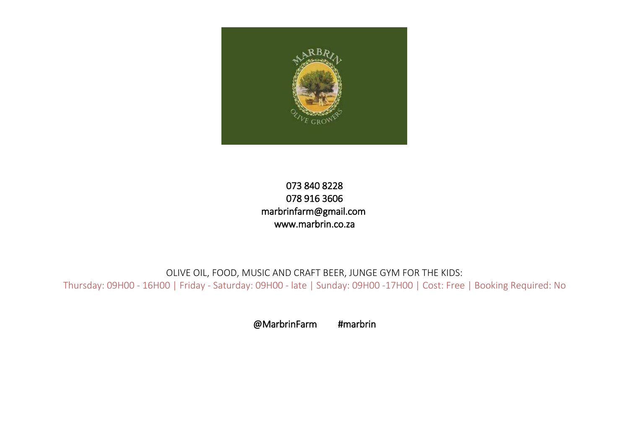

## 073 840 8228 078 916 3606 [marbrinfarm@gmail.com](mailto:marbrinfarm@gmail.com)  [www.marbrin.co.za](http://www.marbrin.co.za/)

OLIVE OIL, FOOD, MUSIC AND CRAFT BEER, JUNGE GYM FOR THE KIDS: Thursday: 09H00 - 16H00 | Friday - Saturday: 09H00 - late | Sunday: 09H00 -17H00 | Cost: Free | Booking Required: No

@MarbrinFarm #marbrin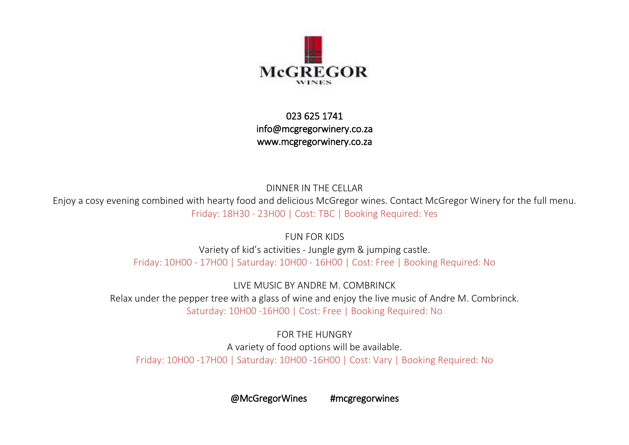

023 625 1741 [info@mcgregorwinery.co.za](mailto:info@mcgregorwinery.co.za)  [www.mcgregorwinery.co.za](http://www.mcgregorwinery.co.za/) 

DINNER IN THE CELLAR Enjoy a cosy evening combined with hearty food and delicious McGregor wines. Contact McGregor Winery for the full menu. Friday: 18H30 - 23H00 | Cost: TBC | Booking Required: Yes

> FUN FOR KIDS Variety of kid's activities - Jungle gym & jumping castle. Friday: 10H00 - 17H00 | Saturday: 10H00 - 16H00 | Cost: Free | Booking Required: No

LIVE MUSIC BY ANDRE M. COMBRINCK Relax under the pepper tree with a glass of wine and enjoy the live music of Andre M. Combrinck. Saturday: 10H00 -16H00 | Cost: Free | Booking Required: No

FOR THE HUNGRY A variety of food options will be available. Friday: 10H00 -17H00 | Saturday: 10H00 -16H00 | Cost: Vary | Booking Required: No

@McGregorWines #mcgregorwines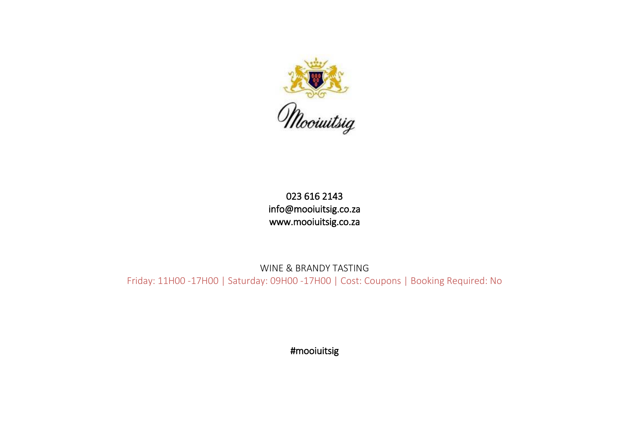

## 023 616 2143 [info@mooiuitsig.co.za](mailto:info@mooiuitsig.co.za)  [www.mooiuitsig.co.za](http://www.mooiuitsig.co.za/)

WINE & BRANDY TASTING Friday: 11H00 -17H00 | Saturday: 09H00 -17H00 | Cost: Coupons | Booking Required: No

#mooiuitsig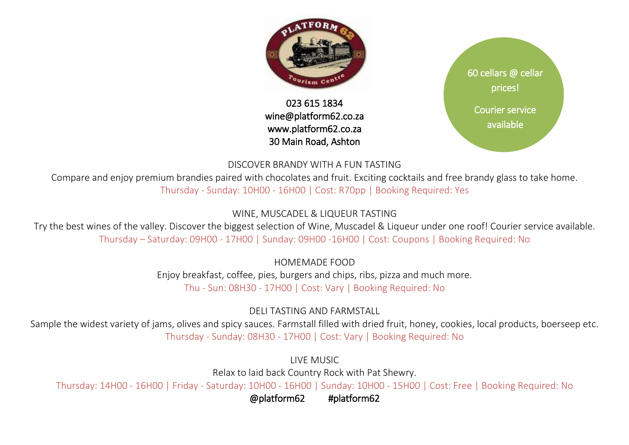

## 023 615 1834 [wine@platform62.co.za](mailto:wine@platform62.co.za)  [www.platform62.co.za](http://www.platform62.co.za/)  30 Main Road, Ashton



#### DISCOVER BRANDY WITH A FUN TASTING

Compare and enjoy premium brandies paired with chocolates and fruit. Exciting cocktails and free brandy glass to take home. Thursday - Sunday: 10H00 - 16H00 | Cost: R70pp | Booking Required: Yes

## WINE, MUSCADEL & LIQUEUR TASTING

Try the best wines of the valley. Discover the biggest selection of Wine, Muscadel & Liqueur under one roof! Courier service available. Thursday – Saturday: 09H00 - 17H00 | Sunday: 09H00 -16H00 | Cost: Coupons | Booking Required: No

HOMEMADE FOOD

Enjoy breakfast, coffee, pies, burgers and chips, ribs, pizza and much more. Thu - Sun: 08H30 - 17H00 | Cost: Vary | Booking Required: No

DELI TASTING AND FARMSTALL

Sample the widest variety of jams, olives and spicy sauces. Farmstall filled with dried fruit, honey, cookies, local products, boerseep etc. Thursday - Sunday: 08H30 - 17H00 | Cost: Vary | Booking Required: No

> LIVE MUSIC Relax to laid back Country Rock with Pat Shewry.

Thursday: 14H00 - 16H00 | Friday - Saturday: 10H00 - 16H00 | Sunday: 10H00 - 15H00 | Cost: Free | Booking Required: No

@platform62 #platform62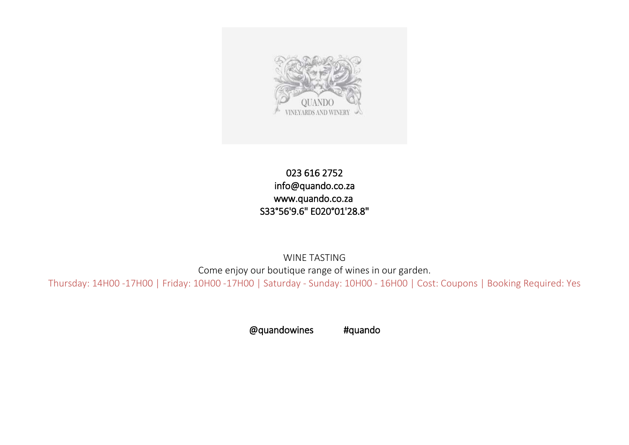

## 023 616 2752 [info@quando.co.za](mailto:info@quando.co.za)  [www.quando.co.za](http://www.quando.co.za/)  S33°56'9.6" E020°01'28.8"

WINE TASTING Come enjoy our boutique range of wines in our garden.

Thursday: 14H00 -17H00 | Friday: 10H00 -17H00 | Saturday - Sunday: 10H00 - 16H00 | Cost: Coupons | Booking Required: Yes

@quandowines #quando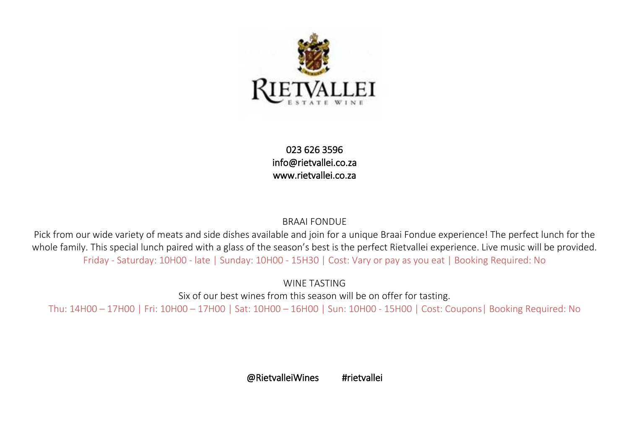

023 626 3596 [info@rietvallei.co.za](mailto:info@rietvallei.co.za)  [www.rietvallei.co.za](http://www.rietvallei.co.za/) 

#### BRAAI FONDUE

Pick from our wide variety of meats and side dishes available and join for a unique Braai Fondue experience! The perfect lunch for the whole family. This special lunch paired with a glass of the season's best is the perfect Rietvallei experience. Live music will be provided. Friday - Saturday: 10H00 - late | Sunday: 10H00 - 15H30 | Cost: Vary or pay as you eat | Booking Required: No

WINE TASTING

Six of our best wines from this season will be on offer for tasting.

Thu: 14H00 – 17H00 | Fri: 10H00 – 17H00 | Sat: 10H00 – 16H00 | Sun: 10H00 - 15H00 | Cost: Coupons| Booking Required: No

@RietvalleiWines #rietvallei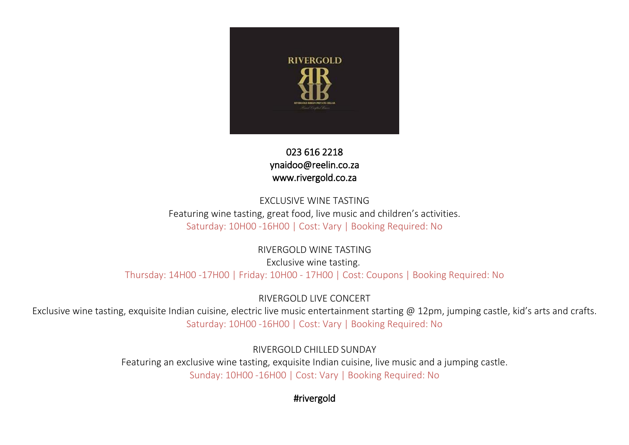

## 023 616 2218  [ynaidoo@reelin.co.za](mailto:ynaidoo@reelin.co.za)  [www.rivergold.co.za](http://www.rivergold.co.za/)

## EXCLUSIVE WINE TASTING Featuring wine tasting, great food, live music and children's activities. Saturday: 10H00 -16H00 | Cost: Vary | Booking Required: No

RIVERGOLD WINE TASTING Exclusive wine tasting. Thursday: 14H00 -17H00 | Friday: 10H00 - 17H00 | Cost: Coupons | Booking Required: No

RIVERGOLD LIVE CONCERT

Exclusive wine tasting, exquisite Indian cuisine, electric live music entertainment starting @ 12pm, jumping castle, kid's arts and crafts. Saturday: 10H00 -16H00 | Cost: Vary | Booking Required: No

> RIVERGOLD CHILLED SUNDAY Featuring an exclusive wine tasting, exquisite Indian cuisine, live music and a jumping castle. Sunday: 10H00 -16H00 | Cost: Vary | Booking Required: No

> > #rivergold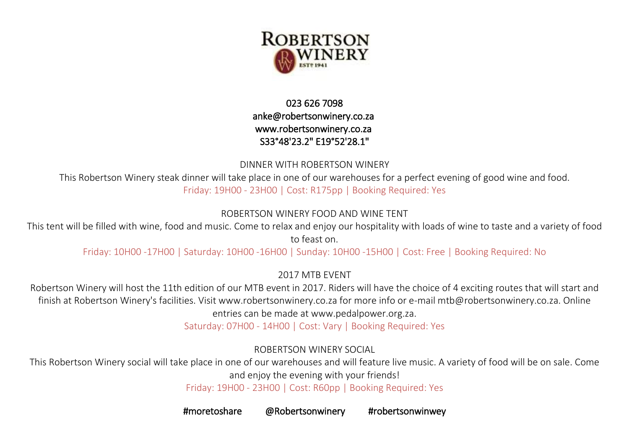

## 023 626 7098 [anke@robertsonwinery.co.za](mailto:anke@robertsonwinery.co.za)  [www.robertsonwinery.co.za](http://www.robertsonwinery.co.za/)  S33°48'23.2" E19°52'28.1"

DINNER WITH ROBERTSON WINERY

This Robertson Winery steak dinner will take place in one of our warehouses for a perfect evening of good wine and food. Friday: 19H00 - 23H00 | Cost: R175pp | Booking Required: Yes

## ROBERTSON WINERY FOOD AND WINE TENT

This tent will be filled with wine, food and music. Come to relax and enjoy our hospitality with loads of wine to taste and a variety of food to feast on.

Friday: 10H00 -17H00 | Saturday: 10H00 -16H00 | Sunday: 10H00 -15H00 | Cost: Free | Booking Required: No

2017 MTB EVENT

Robertson Winery will host the 11th edition of our MTB event in 2017. Riders will have the choice of 4 exciting routes that will start and finish at Robertson Winery's facilities. Visit www.robertsonwinery.co.za for more info or e-mail mtb@robertsonwinery.co.za. Online entries can be made at www.pedalpower.org.za.

Saturday: 07H00 - 14H00 | Cost: Vary | Booking Required: Yes

ROBERTSON WINERY SOCIAL

This Robertson Winery social will take place in one of our warehouses and will feature live music. A variety of food will be on sale. Come and enjoy the evening with your friends!

Friday: 19H00 - 23H00 | Cost: R60pp | Booking Required: Yes

#moretoshare @Robertsonwinery #robertsonwinwey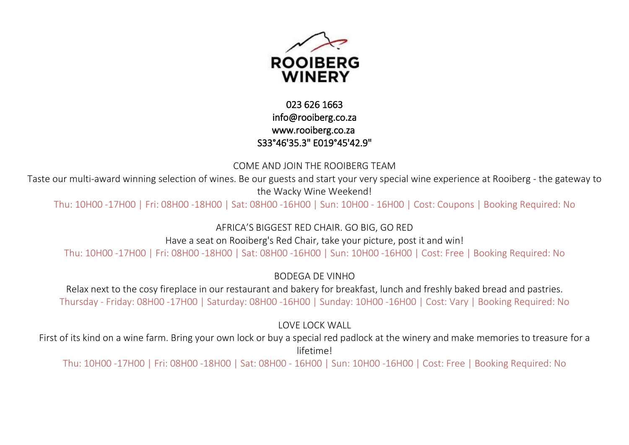

## 023 626 1663 [info@rooiberg.co.za](mailto:info@rooiberg.co.za)  [www.rooiberg.co.za](http://www.rooiberg.co.za/)  S33°46'35.3" E019°45'42.9"

#### COME AND JOIN THE ROOIBERG TEAM

Taste our multi-award winning selection of wines. Be our guests and start your very special wine experience at Rooiberg - the gateway to the Wacky Wine Weekend!

Thu: 10H00 -17H00 | Fri: 08H00 -18H00 | Sat: 08H00 -16H00 | Sun: 10H00 - 16H00 | Cost: Coupons | Booking Required: No

AFRICA'S BIGGEST RED CHAIR. GO BIG, GO RED

Have a seat on Rooiberg's Red Chair, take your picture, post it and win!

Thu: 10H00 -17H00 | Fri: 08H00 -18H00 | Sat: 08H00 -16H00 | Sun: 10H00 -16H00 | Cost: Free | Booking Required: No

BODEGA DE VINHO

Relax next to the cosy fireplace in our restaurant and bakery for breakfast, lunch and freshly baked bread and pastries. Thursday - Friday: 08H00 -17H00 | Saturday: 08H00 -16H00 | Sunday: 10H00 -16H00 | Cost: Vary | Booking Required: No

LOVE LOCK WALL

First of its kind on a wine farm. Bring your own lock or buy a special red padlock at the winery and make memories to treasure for a lifetime!

Thu: 10H00 -17H00 | Fri: 08H00 -18H00 | Sat: 08H00 - 16H00 | Sun: 10H00 -16H00 | Cost: Free | Booking Required: No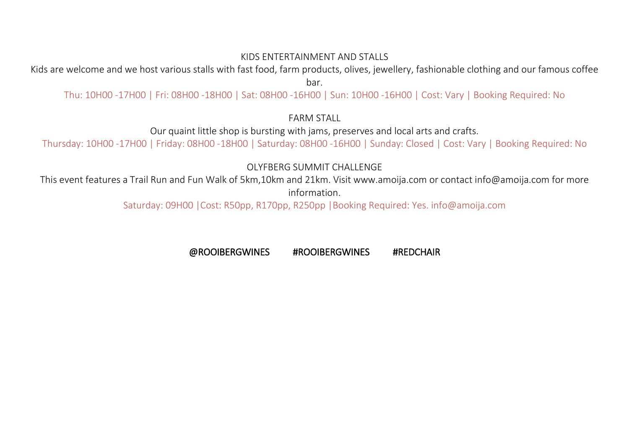#### KIDS ENTERTAINMENT AND STALLS

Kids are welcome and we host various stalls with fast food, farm products, olives, jewellery, fashionable clothing and our famous coffee bar.

Thu: 10H00 -17H00 | Fri: 08H00 -18H00 | Sat: 08H00 -16H00 | Sun: 10H00 -16H00 | Cost: Vary | Booking Required: No

FARM STALL

Our quaint little shop is bursting with jams, preserves and local arts and crafts.

Thursday: 10H00 -17H00 | Friday: 08H00 -18H00 | Saturday: 08H00 -16H00 | Sunday: Closed | Cost: Vary | Booking Required: No

OLYFBERG SUMMIT CHALLENGE

This event features a Trail Run and Fun Walk of 5km,10km and 21km. Visit www.amoija.com or contact info@amoija.com for more information.

Saturday: 09H00 |Cost: R50pp, R170pp, R250pp |Booking Required: Yes. info@amoija.com

@ROOIBERGWINES #ROOIBERGWINES #REDCHAIR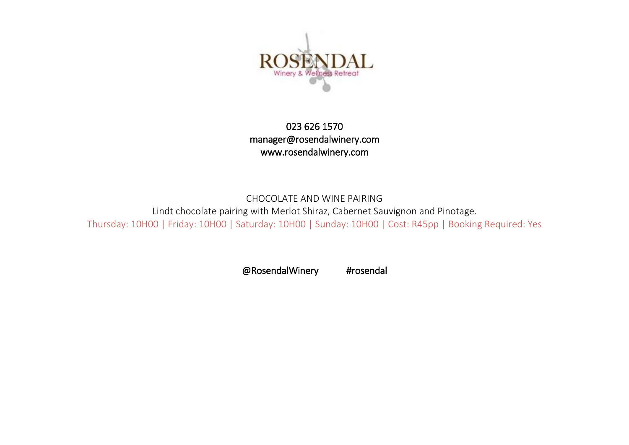

## 023 626 1570 [manager@rosendalwinery.com](mailto:manager@rosendalwinery.com)  [www.rosendalwinery.com](http://www.rosendalwinery.com/)

## CHOCOLATE AND WINE PAIRING Lindt chocolate pairing with Merlot Shiraz, Cabernet Sauvignon and Pinotage. Thursday: 10H00 | Friday: 10H00 | Saturday: 10H00 | Sunday: 10H00 | Cost: R45pp | Booking Required: Yes

@RosendalWinery #rosendal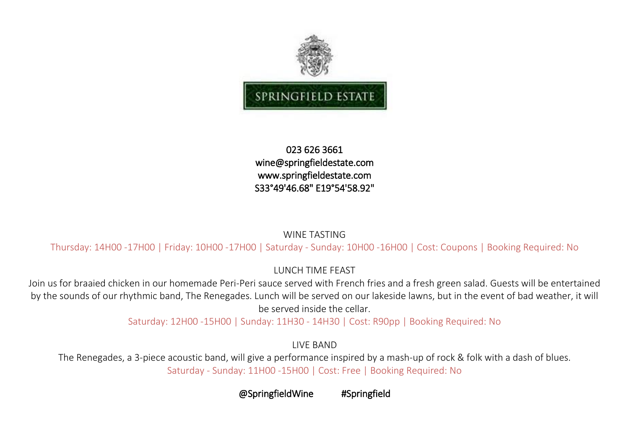

#### 023 626 3661 [wine@springfieldestate.com](mailto:wine@springfieldestate.com)  [www.springfieldestate.com](http://www.springfieldestate.com/)  S33°49'46.68" E19°54'58.92"

#### WINE TASTING

Thursday: 14H00 -17H00 | Friday: 10H00 -17H00 | Saturday - Sunday: 10H00 -16H00 | Cost: Coupons | Booking Required: No

LUNCH TIME FEAST

Join us for braaied chicken in our homemade Peri-Peri sauce served with French fries and a fresh green salad. Guests will be entertained by the sounds of our rhythmic band, The Renegades. Lunch will be served on our lakeside lawns, but in the event of bad weather, it will be served inside the cellar.

Saturday: 12H00 -15H00 | Sunday: 11H30 - 14H30 | Cost: R90pp | Booking Required: No

LIVE BAND

The Renegades, a 3-piece acoustic band, will give a performance inspired by a mash-up of rock & folk with a dash of blues. Saturday - Sunday: 11H00 -15H00 | Cost: Free | Booking Required: No

@SpringfieldWine #Springfield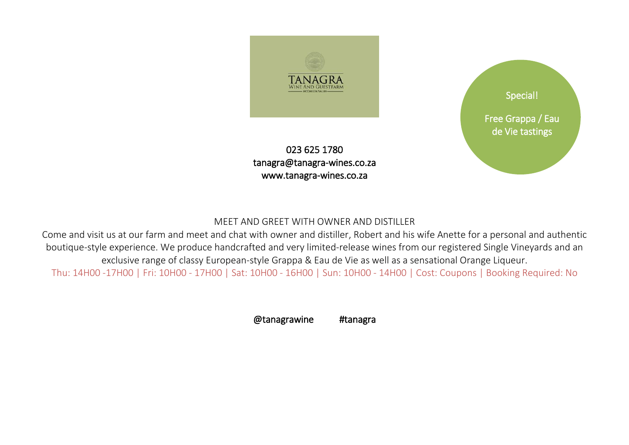

023 625 1780 [tanagra@tanagra-wines.co.za](mailto:tanagra@tanagra-wines.co.za)  [www.tanagra-wines.co.za](http://www.tanagra-wines.co.za/) 



#### MEET AND GREET WITH OWNER AND DISTILLER

Come and visit us at our farm and meet and chat with owner and distiller, Robert and his wife Anette for a personal and authentic boutique-style experience. We produce handcrafted and very limited-release wines from our registered Single Vineyards and an exclusive range of classy European-style Grappa & Eau de Vie as well as a sensational Orange Liqueur.

Thu: 14H00 -17H00 | Fri: 10H00 - 17H00 | Sat: 10H00 - 16H00 | Sun: 10H00 - 14H00 | Cost: Coupons | Booking Required: No

@tanagrawine #tanagra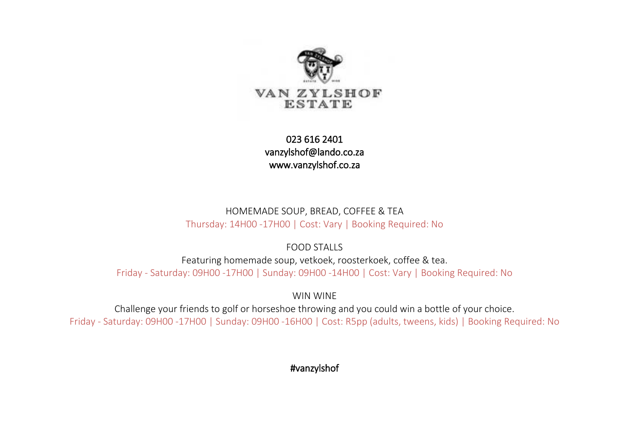

023 616 2401 [vanzylshof@lando.co.za](mailto:vanzylshof@lando.co.za)  [www.vanzylshof.co.za](http://www.vanzylshof.co.za/) 

HOMEMADE SOUP, BREAD, COFFEE & TEA Thursday: 14H00 -17H00 | Cost: Vary | Booking Required: No

FOOD STALLS

Featuring homemade soup, vetkoek, roosterkoek, coffee & tea. Friday - Saturday: 09H00 -17H00 | Sunday: 09H00 -14H00 | Cost: Vary | Booking Required: No

WIN WINE

Challenge your friends to golf or horseshoe throwing and you could win a bottle of your choice. Friday - Saturday: 09H00 -17H00 | Sunday: 09H00 -16H00 | Cost: R5pp (adults, tweens, kids) | Booking Required: No

#vanzylshof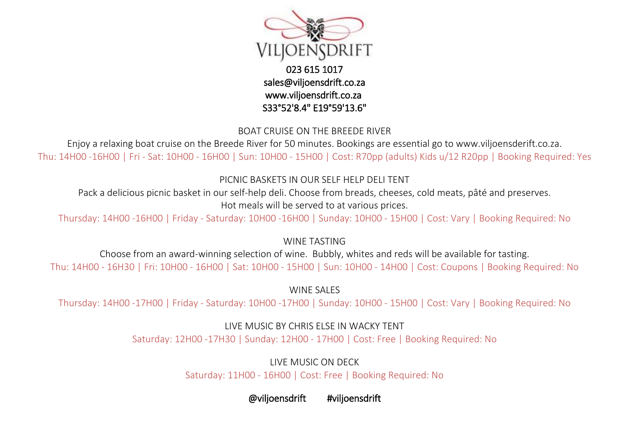

023 615 1017 [sales@viljoensdrift.co.za](mailto:sales@viljoensdrift.co.za)  [www.viljoensdrift.co.za](http://www.viljoensdrift.co.za/)  S33°52'8.4" E19°59'13.6"

BOAT CRUISE ON THE BREEDE RIVER

Enjoy a relaxing boat cruise on the Breede River for 50 minutes. Bookings are essential go to www.viljoensderift.co.za. Thu: 14H00 -16H00 | Fri - Sat: 10H00 - 16H00 | Sun: 10H00 - 15H00 | Cost: R70pp (adults) Kids u/12 R20pp | Booking Required: Yes

PICNIC BASKETS IN OUR SELF HELP DELI TENT

Pack a delicious picnic basket in our self-help deli. Choose from breads, cheeses, cold meats, pâté and preserves. Hot meals will be served to at various prices.

Thursday: 14H00 -16H00 | Friday - Saturday: 10H00 -16H00 | Sunday: 10H00 - 15H00 | Cost: Vary | Booking Required: No

WINE TASTING

Choose from an award-winning selection of wine. Bubbly, whites and reds will be available for tasting. Thu: 14H00 - 16H30 | Fri: 10H00 - 16H00 | Sat: 10H00 - 15H00 | Sun: 10H00 - 14H00 | Cost: Coupons | Booking Required: No

WINE SALES

Thursday: 14H00 -17H00 | Friday - Saturday: 10H00 -17H00 | Sunday: 10H00 - 15H00 | Cost: Vary | Booking Required: No

LIVE MUSIC BY CHRIS ELSE IN WACKY TENT

Saturday: 12H00 -17H30 | Sunday: 12H00 - 17H00 | Cost: Free | Booking Required: No

LIVE MUSIC ON DECK

Saturday: 11H00 - 16H00 | Cost: Free | Booking Required: No

@viljoensdrift #viljoensdrift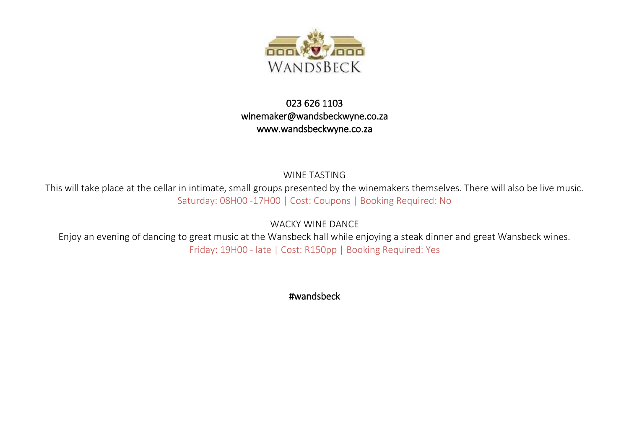

## 023 626 1103 [winemaker@wandsbeckwyne.co.za](mailto:winemaker@wandsbeckwyne.co.za)  [www.wandsbeckwyne.co.za](http://www.wandsbeckwyne.co.za/)

WINE TASTING

This will take place at the cellar in intimate, small groups presented by the winemakers themselves. There will also be live music. Saturday: 08H00 -17H00 | Cost: Coupons | Booking Required: No

WACKY WINE DANCE

Enjoy an evening of dancing to great music at the Wansbeck hall while enjoying a steak dinner and great Wansbeck wines. Friday: 19H00 - late | Cost: R150pp | Booking Required: Yes

#wandsbeck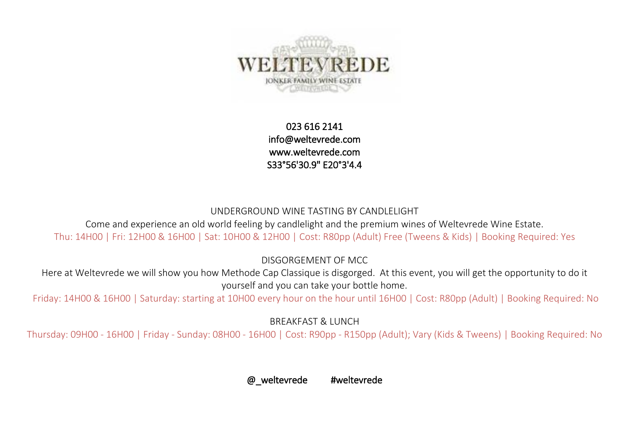

023 616 2141 [info@weltevrede.com](mailto:info@weltevrede.com)  [www.weltevrede.com](http://www.weltevrede.com/)  S33°56'30.9" E20°3'4.4

#### UNDERGROUND WINE TASTING BY CANDLELIGHT

Come and experience an old world feeling by candlelight and the premium wines of Weltevrede Wine Estate. Thu: 14H00 | Fri: 12H00 & 16H00 | Sat: 10H00 & 12H00 | Cost: R80pp (Adult) Free (Tweens & Kids) | Booking Required: Yes

DISGORGEMENT OF MCC

Here at Weltevrede we will show you how Methode Cap Classique is disgorged. At this event, you will get the opportunity to do it yourself and you can take your bottle home.

Friday: 14H00 & 16H00 | Saturday: starting at 10H00 every hour on the hour until 16H00 | Cost: R80pp (Adult) | Booking Required: No

BREAKFAST & LUNCH

Thursday: 09H00 - 16H00 | Friday - Sunday: 08H00 - 16H00 | Cost: R90pp - R150pp (Adult); Vary (Kids & Tweens) | Booking Required: No

@ weltevrede #weltevrede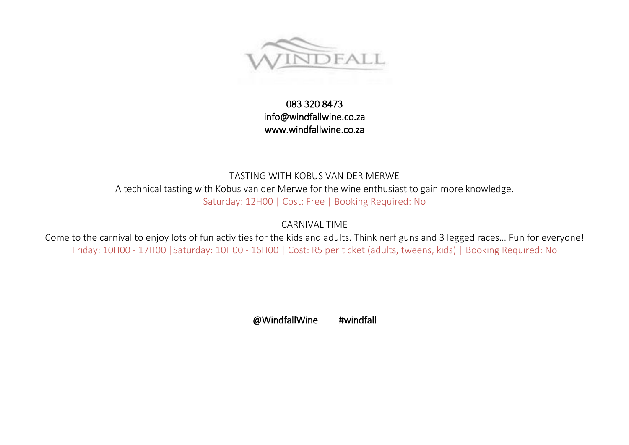

## 083 320 8473 [info@windfallwine.co.za](mailto:info@windfallwine.co.za)  [www.windfallwine.co.za](http://www.windfallwine.co.za/)

## TASTING WITH KOBUS VAN DER MERWE A technical tasting with Kobus van der Merwe for the wine enthusiast to gain more knowledge. Saturday: 12H00 | Cost: Free | Booking Required: No

CARNIVAL TIME

Come to the carnival to enjoy lots of fun activities for the kids and adults. Think nerf guns and 3 legged races… Fun for everyone! Friday: 10H00 - 17H00 |Saturday: 10H00 - 16H00 | Cost: R5 per ticket (adults, tweens, kids) | Booking Required: No

@WindfallWine #windfall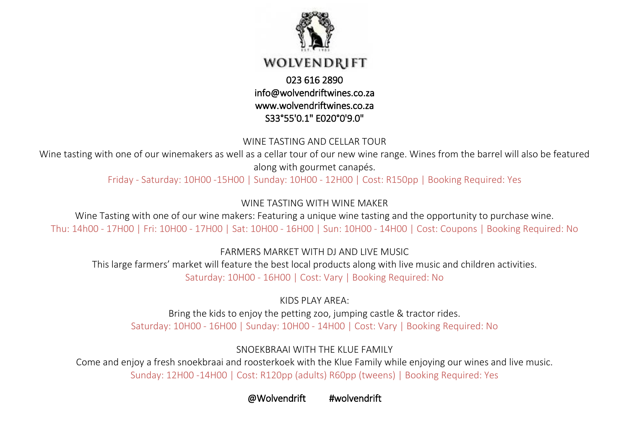

#### WINE TASTING AND CELLAR TOUR

Wine tasting with one of our winemakers as well as a cellar tour of our new wine range. Wines from the barrel will also be featured along with gourmet canapés.

Friday - Saturday: 10H00 -15H00 | Sunday: 10H00 - 12H00 | Cost: R150pp | Booking Required: Yes

WINE TASTING WITH WINE MAKER

Wine Tasting with one of our wine makers: Featuring a unique wine tasting and the opportunity to purchase wine. Thu: 14h00 - 17H00 | Fri: 10H00 - 17H00 | Sat: 10H00 - 16H00 | Sun: 10H00 - 14H00 | Cost: Coupons | Booking Required: No

FARMERS MARKET WITH DJ AND LIVE MUSIC

This large farmers' market will feature the best local products along with live music and children activities. Saturday: 10H00 - 16H00 | Cost: Vary | Booking Required: No

KIDS PLAY AREA: Bring the kids to enjoy the petting zoo, jumping castle & tractor rides. Saturday: 10H00 - 16H00 | Sunday: 10H00 - 14H00 | Cost: Vary | Booking Required: No

SNOFKBRAAI WITH THE KLUF FAMILY

Come and enjoy a fresh snoekbraai and roosterkoek with the Klue Family while enjoying our wines and live music. Sunday: 12H00 -14H00 | Cost: R120pp (adults) R60pp (tweens) | Booking Required: Yes

@Wolvendrift #wolvendrift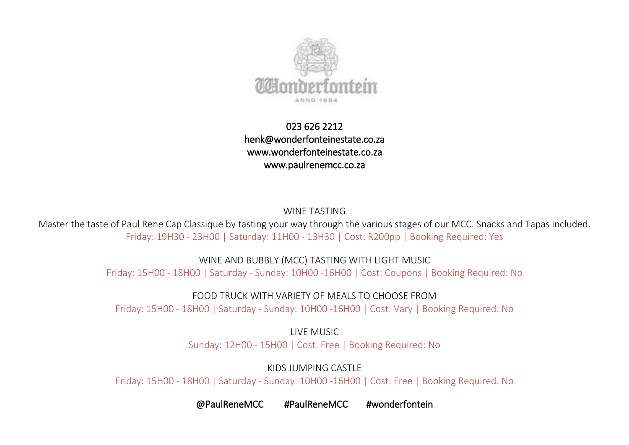

## 023 626 2212 [henk@wonderfonteinestate.co.za](mailto:henk@wonderfonteinestate.co.za)  [www.wonderfonteinestate.co.za](http://www.wonderfonteinestate.co.za/)  [www.paulrenemcc.co.za](http://www.paulrenemcc.co.za/)

WINE TASTING

Master the taste of Paul Rene Cap Classique by tasting your way through the various stages of our MCC. Snacks and Tapas included. Friday: 19H30 - 23H00 | Saturday: 11H00 - 13H30 | Cost: R200pp | Booking Required: Yes

WINE AND BUBBLY (MCC) TASTING WITH LIGHT MUSIC

Friday: 15H00 - 18H00 | Saturday - Sunday: 10H00 -16H00 | Cost: Coupons | Booking Required: No

FOOD TRUCK WITH VARIETY OF MEALS TO CHOOSE FROM

Friday: 15H00 - 18H00 | Saturday - Sunday: 10H00 -16H00 | Cost: Vary | Booking Required: No

LIVE MUSIC Sunday: 12H00 - 15H00 | Cost: Free | Booking Required: No

KIDS JUMPING CASTLE

Friday: 15H00 - 18H00 | Saturday - Sunday: 10H00 -16H00 | Cost: Free | Booking Required: No

@PaulReneMCC #PaulReneMCC #wonderfontein